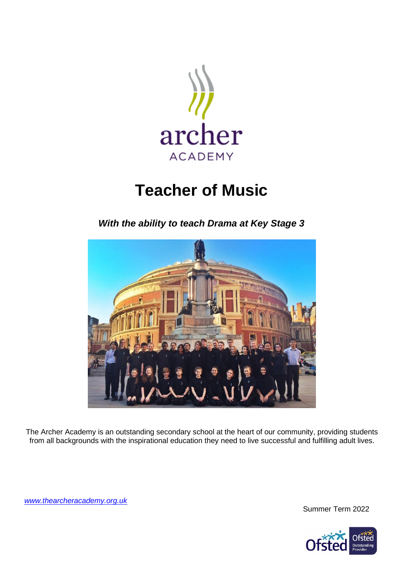

# **Teacher of Music**

*With the ability to teach Drama at Key Stage 3*



The Archer Academy is an outstanding secondary school at the heart of our community, providing students from all backgrounds with the inspirational education they need to live successful and fulfilling adult lives.

*[www.thearcheracademy.org.uk](http://www.thearcheracademy.org.uk/)*

Summer Term 2022

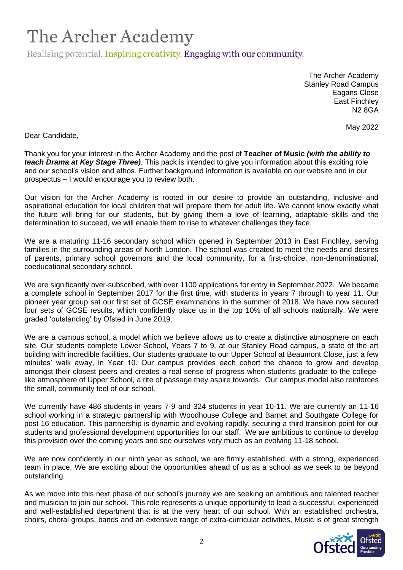Realising potential. Inspiring creativity. Engaging with our community.

The Archer Academy Stanley Road Campus Eagans Close East Finchley N2 8GA

May 2022

Dear Candidate**,**

Thank you for your interest in the Archer Academy and the post of **Teacher of Music** *(with the ability to teach Drama at Key Stage Three).* This pack is intended to give you information about this exciting role and our school's vision and ethos. Further background information is available on our website and in our prospectus – I would encourage you to review both.

Our vision for the Archer Academy is rooted in our desire to provide an outstanding, inclusive and aspirational education for local children that will prepare them for adult life. We cannot know exactly what the future will bring for our students, but by giving them a love of learning, adaptable skills and the determination to succeed, we will enable them to rise to whatever challenges they face.

We are a maturing 11-16 secondary school which opened in September 2013 in East Finchley, serving families in the surrounding areas of North London. The school was created to meet the needs and desires of parents, primary school governors and the local community, for a first-choice, non-denominational, coeducational secondary school.

We are significantly over-subscribed, with over 1100 applications for entry in September 2022. We became a complete school in September 2017 for the first time, with students in years 7 through to year 11. Our pioneer year group sat our first set of GCSE examinations in the summer of 2018. We have now secured four sets of GCSE results, which confidently place us in the top 10% of all schools nationally. We were graded 'outstanding' by Ofsted in June 2019.

We are a campus school, a model which we believe allows us to create a distinctive atmosphere on each site. Our students complete Lower School, Years 7 to 9, at our Stanley Road campus, a state of the art building with incredible facilities. Our students graduate to our Upper School at Beaumont Close, just a few minutes' walk away, in Year 10. Our campus provides each cohort the chance to grow and develop amongst their closest peers and creates a real sense of progress when students graduate to the collegelike atmosphere of Upper School, a rite of passage they aspire towards. Our campus model also reinforces the small, community feel of our school.

We currently have 486 students in years 7-9 and 324 students in year 10-11. We are currently an 11-16 school working in a strategic partnership with Woodhouse College and Barnet and Southgate College for post 16 education. This partnership is dynamic and evolving rapidly, securing a third transition point for our students and professional development opportunities for our staff. We are ambitious to continue to develop this provision over the coming years and see ourselves very much as an evolving 11-18 school.

We are now confidently in our ninth year as school, we are firmly established, with a strong, experienced team in place. We are exciting about the opportunities ahead of us as a school as we seek to be beyond outstanding.

As we move into this next phase of our school's journey we are seeking an ambitious and talented teacher and musician to join our school. This role represents a unique opportunity to lead a successful, experienced and well-established department that is at the very heart of our school. With an established orchestra, choirs, choral groups, bands and an extensive range of extra-curricular activities, Music is of great strength

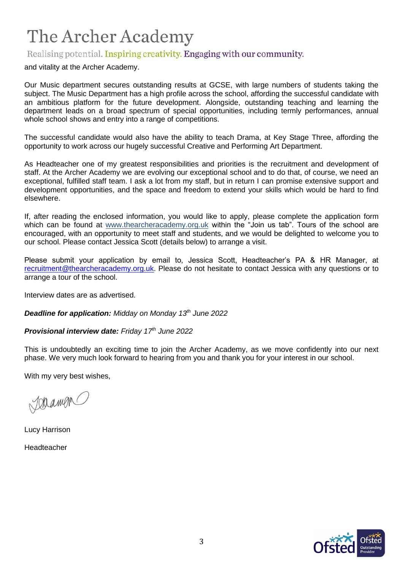## Realising potential. Inspiring creativity. Engaging with our community.

and vitality at the Archer Academy.

Our Music department secures outstanding results at GCSE, with large numbers of students taking the subject. The Music Department has a high profile across the school, affording the successful candidate with an ambitious platform for the future development. Alongside, outstanding teaching and learning the department leads on a broad spectrum of special opportunities, including termly performances, annual whole school shows and entry into a range of competitions.

The successful candidate would also have the ability to teach Drama, at Key Stage Three, affording the opportunity to work across our hugely successful Creative and Performing Art Department.

As Headteacher one of my greatest responsibilities and priorities is the recruitment and development of staff. At the Archer Academy we are evolving our exceptional school and to do that, of course, we need an exceptional, fulfilled staff team. I ask a lot from my staff, but in return I can promise extensive support and development opportunities, and the space and freedom to extend your skills which would be hard to find elsewhere.

If, after reading the enclosed information, you would like to apply, please complete the application form which can be found at [www.thearcheracademy.org.uk](http://www.thearcheracademy.org.uk/) within the "Join us tab". Tours of the school are encouraged, with an opportunity to meet staff and students, and we would be delighted to welcome you to our school. Please contact Jessica Scott (details below) to arrange a visit.

Please submit your application by email to, Jessica Scott, Headteacher's PA & HR Manager, at [recruitment@thearcheracademy.org.uk.](mailto:recruitment@thearcheracademy.org.uk) Please do not hesitate to contact Jessica with any questions or to arrange a tour of the school.

Interview dates are as advertised.

*Deadline for application: Midday on Monday 13th June 2022*

*Provisional interview date: Friday 17th June 2022* 

This is undoubtedly an exciting time to join the Archer Academy, as we move confidently into our next phase. We very much look forward to hearing from you and thank you for your interest in our school.

With my very best wishes,

Jaramen

Lucy Harrison Headteacher

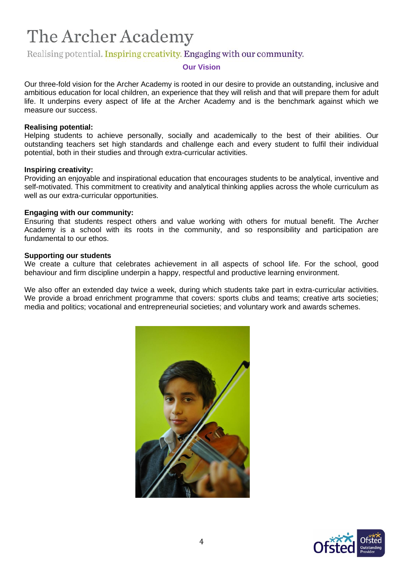### Realising potential. Inspiring creativity. Engaging with our community.

#### **Our Vision**

Our three-fold vision for the Archer Academy is rooted in our desire to provide an outstanding, inclusive and ambitious education for local children, an experience that they will relish and that will prepare them for adult life. It underpins every aspect of life at the Archer Academy and is the benchmark against which we measure our success.

#### **Realising potential:**

Helping students to achieve personally, socially and academically to the best of their abilities. Our outstanding teachers set high standards and challenge each and every student to fulfil their individual potential, both in their studies and through extra-curricular activities.

#### **Inspiring creativity:**

Providing an enjoyable and inspirational education that encourages students to be analytical, inventive and self-motivated. This commitment to creativity and analytical thinking applies across the whole curriculum as well as our extra-curricular opportunities.

#### **Engaging with our community:**

Ensuring that students respect others and value working with others for mutual benefit. The Archer Academy is a school with its roots in the community, and so responsibility and participation are fundamental to our ethos.

#### **Supporting our students**

We create a culture that celebrates achievement in all aspects of school life. For the school, good behaviour and firm discipline underpin a happy, respectful and productive learning environment.

We also offer an extended day twice a week, during which students take part in extra-curricular activities. We provide a broad enrichment programme that covers: sports clubs and teams; creative arts societies; media and politics; vocational and entrepreneurial societies; and voluntary work and awards schemes.



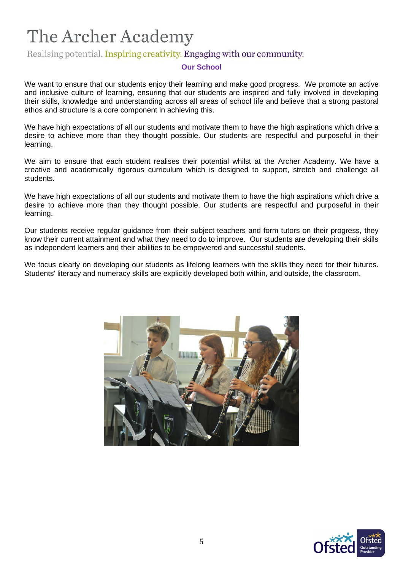## Realising potential. Inspiring creativity. Engaging with our community.

### **Our School**

We want to ensure that our students enjoy their learning and make good progress. We promote an active and inclusive culture of learning, ensuring that our students are inspired and fully involved in developing their skills, knowledge and understanding across all areas of school life and believe that a strong pastoral ethos and structure is a core component in achieving this.

We have high expectations of all our students and motivate them to have the high aspirations which drive a desire to achieve more than they thought possible. Our students are respectful and purposeful in their learning.

We aim to ensure that each student realises their potential whilst at the Archer Academy. We have a creative and academically rigorous curriculum which is designed to support, stretch and challenge all students.

We have high expectations of all our students and motivate them to have the high aspirations which drive a desire to achieve more than they thought possible. Our students are respectful and purposeful in their learning.

Our students receive regular guidance from their subject teachers and form tutors on their progress, they know their current attainment and what they need to do to improve. Our students are developing their skills as independent learners and their abilities to be empowered and successful students.

We focus clearly on developing our students as lifelong learners with the skills they need for their futures. Students' literacy and numeracy skills are explicitly developed both within, and outside, the classroom.



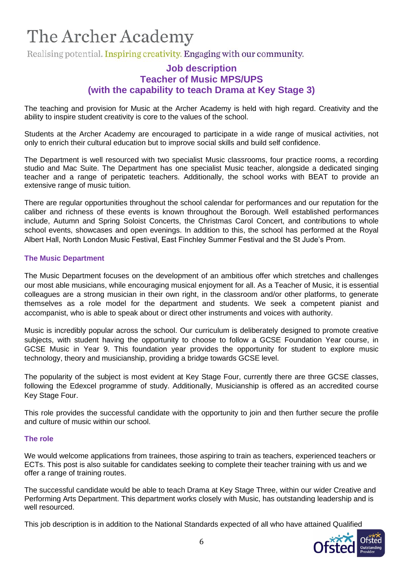Realising potential. Inspiring creativity. Engaging with our community.

### **Job description Teacher of Music MPS/UPS (with the capability to teach Drama at Key Stage 3)**

The teaching and provision for Music at the Archer Academy is held with high regard. Creativity and the ability to inspire student creativity is core to the values of the school.

Students at the Archer Academy are encouraged to participate in a wide range of musical activities, not only to enrich their cultural education but to improve social skills and build self confidence.

The Department is well resourced with two specialist Music classrooms, four practice rooms, a recording studio and Mac Suite. The Department has one specialist Music teacher, alongside a dedicated singing teacher and a range of peripatetic teachers. Additionally, the school works with BEAT to provide an extensive range of music tuition.

There are regular opportunities throughout the school calendar for performances and our reputation for the caliber and richness of these events is known throughout the Borough. Well established performances include, Autumn and Spring Soloist Concerts, the Christmas Carol Concert, and contributions to whole school events, showcases and open evenings. In addition to this, the school has performed at the Royal Albert Hall, North London Music Festival, East Finchley Summer Festival and the St Jude's Prom.

#### **The Music Department**

The Music Department focuses on the development of an ambitious offer which stretches and challenges our most able musicians, while encouraging musical enjoyment for all. As a Teacher of Music, it is essential colleagues are a strong musician in their own right, in the classroom and/or other platforms, to generate themselves as a role model for the department and students. We seek a competent pianist and accompanist, who is able to speak about or direct other instruments and voices with authority.

Music is incredibly popular across the school. Our curriculum is deliberately designed to promote creative subjects, with student having the opportunity to choose to follow a GCSE Foundation Year course, in GCSE Music in Year 9. This foundation year provides the opportunity for student to explore music technology, theory and musicianship, providing a bridge towards GCSE level.

The popularity of the subject is most evident at Key Stage Four, currently there are three GCSE classes, following the Edexcel programme of study. Additionally, Musicianship is offered as an accredited course Key Stage Four.

This role provides the successful candidate with the opportunity to join and then further secure the profile and culture of music within our school.

#### **The role**

We would welcome applications from trainees, those aspiring to train as teachers, experienced teachers or ECTs. This post is also suitable for candidates seeking to complete their teacher training with us and we offer a range of training routes.

The successful candidate would be able to teach Drama at Key Stage Three, within our wider Creative and Performing Arts Department. This department works closely with Music, has outstanding leadership and is well resourced.

This job description is in addition to the National Standards expected of all who have attained Qualified

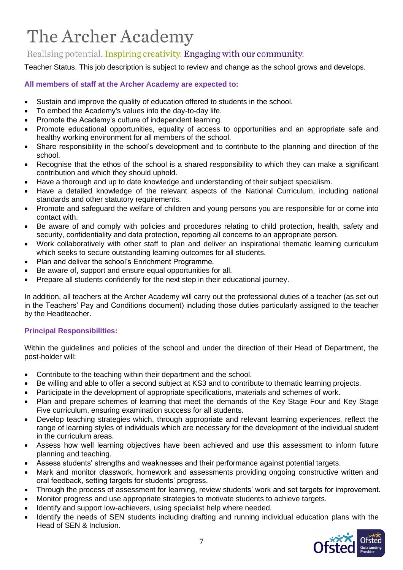## Realising potential. Inspiring creativity. Engaging with our community.

Teacher Status. This job description is subject to review and change as the school grows and develops.

### **All members of staff at the Archer Academy are expected to:**

- Sustain and improve the quality of education offered to students in the school.
- To embed the Academy's values into the day-to-day life.
- Promote the Academy's culture of independent learning.
- Promote educational opportunities, equality of access to opportunities and an appropriate safe and healthy working environment for all members of the school.
- Share responsibility in the school's development and to contribute to the planning and direction of the school.
- Recognise that the ethos of the school is a shared responsibility to which they can make a significant contribution and which they should uphold.
- Have a thorough and up to date knowledge and understanding of their subject specialism.
- Have a detailed knowledge of the relevant aspects of the National Curriculum, including national standards and other statutory requirements.
- Promote and safeguard the welfare of children and young persons you are responsible for or come into contact with.
- Be aware of and comply with policies and procedures relating to child protection, health, safety and security, confidentiality and data protection, reporting all concerns to an appropriate person.
- Work collaboratively with other staff to plan and deliver an inspirational thematic learning curriculum which seeks to secure outstanding learning outcomes for all students.
- Plan and deliver the school's Enrichment Programme.
- Be aware of, support and ensure equal opportunities for all.
- Prepare all students confidently for the next step in their educational journey.

In addition, all teachers at the Archer Academy will carry out the professional duties of a teacher (as set out in the Teachers' Pay and Conditions document) including those duties particularly assigned to the teacher by the Headteacher.

### **Principal Responsibilities:**

Within the guidelines and policies of the school and under the direction of their Head of Department, the post-holder will:

- Contribute to the teaching within their department and the school.
- Be willing and able to offer a second subject at KS3 and to contribute to thematic learning projects.
- Participate in the development of appropriate specifications, materials and schemes of work.
- Plan and prepare schemes of learning that meet the demands of the Key Stage Four and Key Stage Five curriculum, ensuring examination success for all students.
- Develop teaching strategies which, through appropriate and relevant learning experiences, reflect the range of learning styles of individuals which are necessary for the development of the individual student in the curriculum areas.
- Assess how well learning objectives have been achieved and use this assessment to inform future planning and teaching.
- Assess students' strengths and weaknesses and their performance against potential targets.
- Mark and monitor classwork, homework and assessments providing ongoing constructive written and oral feedback, setting targets for students' progress.
- Through the process of assessment for learning, review students' work and set targets for improvement.
- Monitor progress and use appropriate strategies to motivate students to achieve targets.
- Identify and support low-achievers, using specialist help where needed.
- Identify the needs of SEN students including drafting and running individual education plans with the Head of SEN & Inclusion.

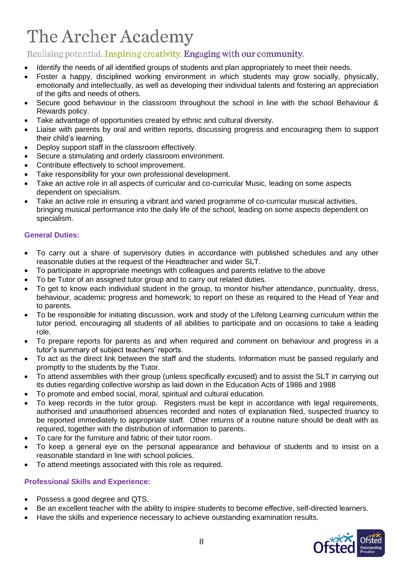## Realising potential. Inspiring creativity. Engaging with our community.

- Identify the needs of all identified groups of students and plan appropriately to meet their needs.
- Foster a happy, disciplined working environment in which students may grow socially, physically, emotionally and intellectually, as well as developing their individual talents and fostering an appreciation of the gifts and needs of others.
- Secure good behaviour in the classroom throughout the school in line with the school Behaviour & Rewards policy.
- Take advantage of opportunities created by ethnic and cultural diversity.
- Liaise with parents by oral and written reports, discussing progress and encouraging them to support their child's learning.
- Deploy support staff in the classroom effectively.
- Secure a stimulating and orderly classroom environment.
- Contribute effectively to school improvement.
- Take responsibility for your own professional development.
- Take an active role in all aspects of curricular and co-curricular Music, leading on some aspects dependent on specialism.
- Take an active role in ensuring a vibrant and varied programme of co-curricular musical activities, bringing musical performance into the daily life of the school, leading on some aspects dependent on specialism.

### **General Duties:**

- To carry out a share of supervisory duties in accordance with published schedules and any other reasonable duties at the request of the Headteacher and wider SLT.
- To participate in appropriate meetings with colleagues and parents relative to the above
- To be Tutor of an assigned tutor group and to carry out related duties.
- To get to know each individual student in the group, to monitor his/her attendance, punctuality, dress, behaviour, academic progress and homework; to report on these as required to the Head of Year and to parents.
- To be responsible for initiating discussion, work and study of the Lifelong Learning curriculum within the tutor period, encouraging all students of all abilities to participate and on occasions to take a leading role.
- To prepare reports for parents as and when required and comment on behaviour and progress in a tutor's summary of subject teachers' reports.
- To act as the direct link between the staff and the students. Information must be passed regularly and promptly to the students by the Tutor.
- To attend assemblies with their group (unless specifically excused) and to assist the SLT in carrying out its duties regarding collective worship as laid down in the Education Acts of 1986 and 1988
- To promote and embed social, moral, spiritual and cultural education.
- To keep records in the tutor group. Registers must be kept in accordance with legal requirements, authorised and unauthorised absences recorded and notes of explanation filed, suspected truancy to be reported immediately to appropriate staff. Other returns of a routine nature should be dealt with as required, together with the distribution of information to parents.
- To care for the furniture and fabric of their tutor room.
- To keep a general eye on the personal appearance and behaviour of students and to insist on a reasonable standard in line with school policies.
- To attend meetings associated with this role as required.

### **Professional Skills and Experience:**

- Possess a good degree and QTS.
- Be an excellent teacher with the ability to inspire students to become effective, self-directed learners.
- Have the skills and experience necessary to achieve outstanding examination results.

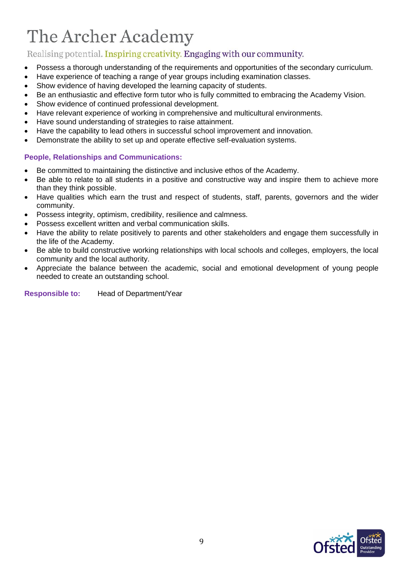## Realising potential. Inspiring creativity. Engaging with our community.

- Possess a thorough understanding of the requirements and opportunities of the secondary curriculum.
- Have experience of teaching a range of year groups including examination classes.
- Show evidence of having developed the learning capacity of students.
- Be an enthusiastic and effective form tutor who is fully committed to embracing the Academy Vision.
- Show evidence of continued professional development.
- Have relevant experience of working in comprehensive and multicultural environments.
- Have sound understanding of strategies to raise attainment.
- Have the capability to lead others in successful school improvement and innovation.
- Demonstrate the ability to set up and operate effective self-evaluation systems.

### **People, Relationships and Communications:**

- Be committed to maintaining the distinctive and inclusive ethos of the Academy.
- Be able to relate to all students in a positive and constructive way and inspire them to achieve more than they think possible.
- Have qualities which earn the trust and respect of students, staff, parents, governors and the wider community.
- Possess integrity, optimism, credibility, resilience and calmness.
- Possess excellent written and verbal communication skills.
- Have the ability to relate positively to parents and other stakeholders and engage them successfully in the life of the Academy.
- Be able to build constructive working relationships with local schools and colleges, employers, the local community and the local authority.
- Appreciate the balance between the academic, social and emotional development of young people needed to create an outstanding school.

**Responsible to:** Head of Department/Year